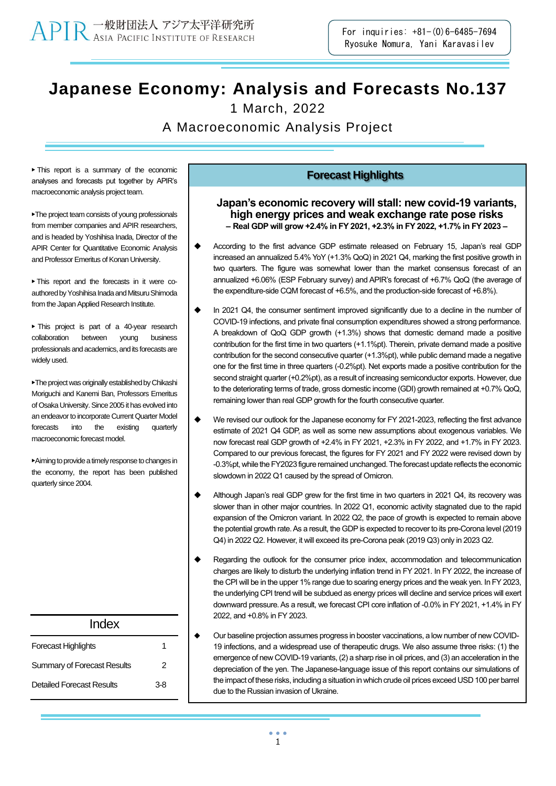**Japanese Economy: Analysis and Forecasts No.137**

1 March, 2022

A Macroeconomic Analysis Project

▶ This report is a summary of the economic analyses and forecasts put together by APIR's macroeconomic analysis project team.

▶The project team consists of young professionals from member companies and APIR researchers, and is headed by Yoshihisa Inada, Director of the APIR Center for Quantitative Economic Analysis and Professor Emeritus of Konan University.

▶ This report and the forecasts in it were coauthored by Yoshihisa Inada and Mitsuru Shimoda from the Japan Applied Research Institute.

▶ This project is part of a 40-year research collaboration between young business professionals and academics, and its forecasts are widely used.

▶The project was originally established by Chikashi Moriguchi and Kanemi Ban, Professors Emeritus of Osaka University. Since 2005 it has evolved into an endeavor to incorporate Current Quarter Model forecasts into the existing quarterly macroeconomic forecast model.

▶Aimingto provide a timely response to changes in the economy, the report has been published quarterly since 2004.

| Index                              |     |
|------------------------------------|-----|
| <b>Forecast Highlights</b>         |     |
| <b>Summary of Forecast Results</b> | 2   |
| Detailed Forecast Results          | 3-8 |

### **Forecast Highlights**

### **Japan's economic recovery will stall: new covid-19 variants, high energy prices and weak exchange rate pose risks – Real GDP will grow +2.4% in FY 2021, +2.3% in FY 2022, +1.7% in FY 2023 –**

- According to the first advance GDP estimate released on February 15, Japan's real GDP increased an annualized 5.4% YoY (+1.3% QoQ) in 2021 Q4, marking the first positive growth in two quarters. The figure was somewhat lower than the market consensus forecast of an annualized +6.06% (ESP February survey) and APIR's forecast of +6.7% QoQ (the average of the expenditure-side CQM forecast of +6.5%, and the production-side forecast of +6.8%).
- In 2021 Q4, the consumer sentiment improved significantly due to a decline in the number of COVID-19 infections, and private final consumption expenditures showed a strong performance. A breakdown of QoQ GDP growth (+1.3%) shows that domestic demand made a positive contribution for the first time in two quarters (+1.1%pt). Therein, private demand made a positive contribution for the second consecutive quarter (+1.3%pt), while public demand made a negative one for the first time in three quarters (-0.2%pt). Net exports made a positive contribution for the second straight quarter (+0.2%pt), as a result of increasing semiconductor exports. However, due to the deteriorating terms of trade, gross domestic income (GDI) growth remained at +0.7% QoQ, remaining lower than real GDP growth for the fourth consecutive quarter.
- We revised our outlook for the Japanese economy for FY 2021-2023, reflecting the first advance estimate of 2021 Q4 GDP, as well as some new assumptions about exogenous variables. We now forecast real GDP growth of +2.4% in FY 2021, +2.3% in FY 2022, and +1.7% in FY 2023. Compared to our previous forecast, the figures for FY 2021 and FY 2022 were revised down by -0.3%pt, while theFY2023 figure remained unchanged. The forecast update reflects the economic slowdown in 2022 Q1 caused by the spread of Omicron.
- Although Japan's real GDP grew for the first time in two quarters in 2021 Q4, its recovery was slower than in other major countries. In 2022 Q1, economic activity stagnated due to the rapid expansion of the Omicron variant. In 2022 Q2, the pace of growth is expected to remain above the potential growth rate. As a result, the GDP is expected to recover to its pre-Corona level (2019 Q4) in 2022 Q2. However, it will exceed its pre-Corona peak (2019 Q3) only in 2023 Q2.
- Regarding the outlook for the consumer price index, accommodation and telecommunication charges are likely to disturb the underlying inflation trend in FY 2021. In FY 2022, the increase of the CPI will be in the upper 1% range due to soaring energy prices and the weak yen. In FY 2023, the underlying CPI trend will be subdued as energy prices will decline and service prices will exert downward pressure. As a result, we forecast CPI core inflation of -0.0% in FY 2021, +1.4% in FY 2022, and +0.8% in FY 2023.
- ◆ Our baseline projection assumes progress in booster vaccinations, a low number of new COVID-19 infections, and a widespread use of therapeutic drugs. We also assume three risks: (1) the emergence of new COVID-19 variants, (2) a sharp rise in oil prices, and (3) an acceleration in the depreciation of the yen. The Japanese-language issue of this report contains our simulations of the impact of these risks, including a situation in which crude oil prices exceed USD 100 per barrel due to the Russian invasion of Ukraine.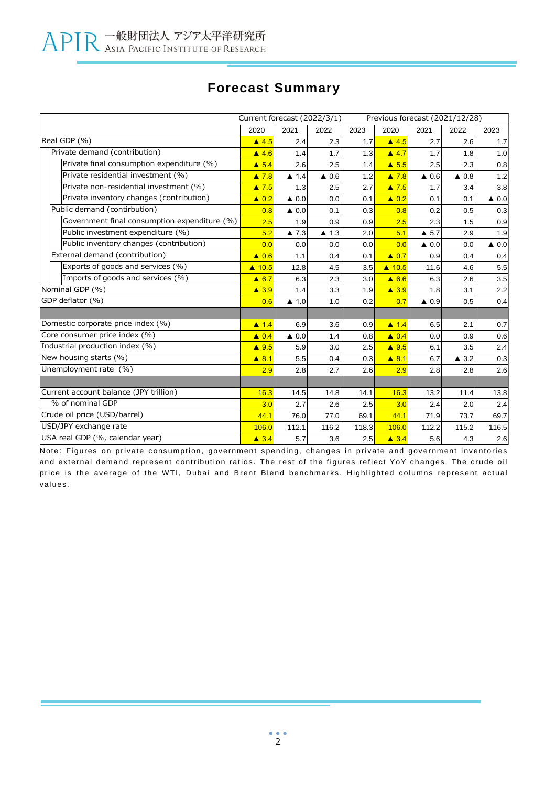## **Forecast Summary**

|                                              | Current forecast (2022/3/1) |                      |                      |       |                  |                      | Previous forecast (2021/12/28) |                 |
|----------------------------------------------|-----------------------------|----------------------|----------------------|-------|------------------|----------------------|--------------------------------|-----------------|
|                                              | 2020                        | 2021                 | 2022                 | 2023  | 2020             | 2021                 | 2022                           | 2023            |
| Real GDP (%)                                 | $\triangle$ 4.5             | 2.4                  | 2.3                  | 1.7   | $\triangle$ 4.5  | 2.7                  | 2.6                            | 1.7             |
| Private demand (contribution)                | $\triangle$ 4.6             | 1.4                  | 1.7                  | 1.3   | $\triangle$ 4.7  | 1.7                  | 1.8                            | 1.0             |
| Private final consumption expenditure (%)    | $\triangle$ 5.4             | 2.6                  | 2.5                  | 1.4   | $\triangle$ 5.5  | 2.5                  | 2.3                            | 0.8             |
| Private residential investment (%)           | $\triangle$ 7.8             | $\blacktriangle$ 1.4 | $\triangle$ 0.6      | 1.2   | $\triangle$ 7.8  | $\triangle$ 0.6      | $\triangle$ 0.8                | 1.2             |
| Private non-residential investment (%)       | $\triangle$ 7.5             | 1.3                  | 2.5                  | 2.7   | $\triangle$ 7.5  | 1.7                  | 3.4                            | 3.8             |
| Private inventory changes (contribution)     | $\triangle$ 0.2             | $\triangle$ 0.0      | 0.0                  | 0.1   | $\triangle$ 0.2  | 0.1                  | 0.1                            | $\triangle$ 0.0 |
| Public demand (contirbution)                 | 0.8                         | $\triangle$ 0.0      | 0.1                  | 0.3   | 0.8              | 0.2                  | 0.5                            | 0.3             |
| Government final consumption expenditure (%) | 2.5                         | 1.9                  | 0.9                  | 0.9   | 2.5              | 2.3                  | 1.5                            | 0.9             |
| Public investment expenditure (%)            | 5.2                         | $\blacktriangle$ 7.3 | $\blacktriangle$ 1.3 | 2.0   | 5.1              | $\triangle$ 5.7      | 2.9                            | 1.9             |
| Public inventory changes (contribution)      | 0.0                         | 0.0                  | 0.0                  | 0.0   | 0.0              | $\triangle$ 0.0      | 0.0                            | $\triangle$ 0.0 |
| External demand (contribution)               | $\triangle$ 0.6             | 1.1                  | 0.4                  | 0.1   | $\triangle$ 0.7  | 0.9                  | 0.4                            | 0.4             |
| Exports of goods and services (%)            | $\triangle$ 10.5            | 12.8                 | 4.5                  | 3.5   | $\triangle$ 10.5 | 11.6                 | 4.6                            | 5.5             |
| Imports of goods and services (%)            | $\triangle$ 6.7             | 6.3                  | 2.3                  | 3.0   | $\triangle$ 6.6  | 6.3                  | 2.6                            | 3.5             |
| Nominal GDP (%)                              | $\triangle$ 3.9             | 1.4                  | 3.3                  | 1.9   | $\triangle$ 3.9  | 1.8                  | 3.1                            | 2.2             |
| GDP deflator (%)                             | 0.6                         | $\blacktriangle$ 1.0 | 1.0                  | 0.2   | 0.7              | $\blacktriangle$ 0.9 | 0.5                            | 0.4             |
|                                              |                             |                      |                      |       |                  |                      |                                |                 |
| Domestic corporate price index (%)           | $\triangle$ 1.4             | 6.9                  | 3.6                  | 0.9   | $\triangle$ 1.4  | 6.5                  | 2.1                            | 0.7             |
| Core consumer price index (%)                | $\triangle$ 0.4             | $\triangle$ 0.0      | 1.4                  | 0.8   | $\triangle$ 0.4  | 0.0                  | 0.9                            | 0.6             |
| Industrial production index (%)              | $\triangle$ 9.5             | 5.9                  | 3.0                  | 2.5   | $\triangle$ 9.5  | 6.1                  | 3.5                            | 2.4             |
| New housing starts (%)                       | $\triangle$ 8.1             | 5.5                  | 0.4                  | 0.3   | $\triangle$ 8.1  | 6.7                  | $\triangle$ 3.2                | 0.3             |
| Unemployment rate (%)                        | 2.9                         | 2.8                  | 2.7                  | 2.6   | 2.9              | 2.8                  | 2.8                            | 2.6             |
|                                              |                             |                      |                      |       |                  |                      |                                |                 |
| Current account balance (JPY trillion)       | 16.3                        | 14.5                 | 14.8                 | 14.1  | 16.3             | 13.2                 | 11.4                           | 13.8            |
| % of nominal GDP                             | 3.0                         | 2.7                  | 2.6                  | 2.5   | 3.0              | 2.4                  | 2.0                            | 2.4             |
| Crude oil price (USD/barrel)                 | 44.1                        | 76.0                 | 77.0                 | 69.1  | 44.1             | 71.9                 | 73.7                           | 69.7            |
| USD/JPY exchange rate                        | 106.0                       | 112.1                | 116.2                | 118.3 | 106.0            | 112.2                | 115.2                          | 116.5           |
| USA real GDP (%, calendar year)              | $\triangle$ 3.4             | 5.7                  | 3.6                  | 2.5   | $\triangle$ 3.4  | 5.6                  | 4.3                            | 2.6             |

Note: Figures on private consumption, government spending, changes in private and government inventories and external demand represent contribution ratios. The rest of the figures reflect YoY changes. The crude oil price is the average of the WTI, Dubai and Brent Blend benchmarks. Highlighted columns represent actual values.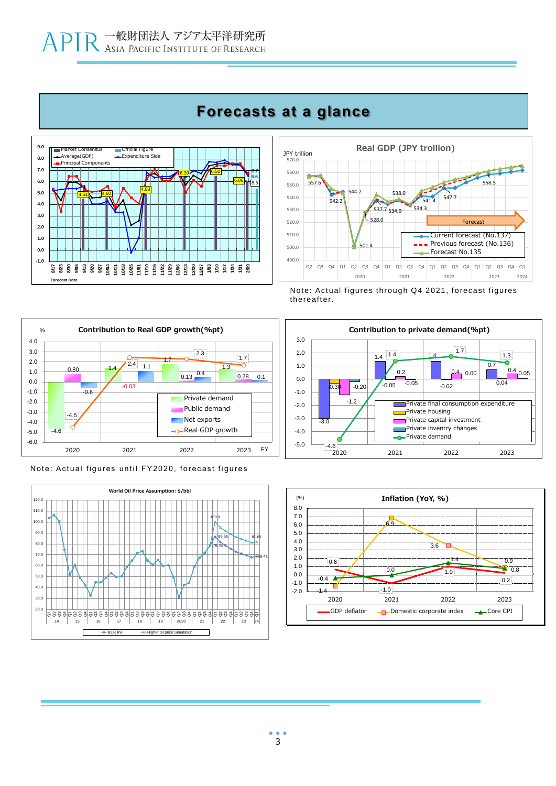# **Forecasts at a glance**





Note: Actual figures through Q4 2021, forecast figures thereafter.











# 3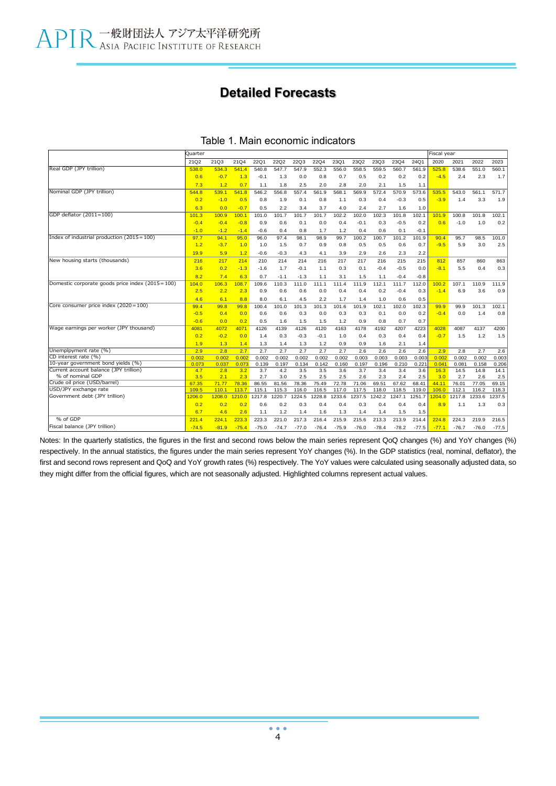### **Detailed Forecasts**

|                                                            | Quarter      |              |              |             |              |              |              |              |              |              |              |              | Fiscal year  |              |              |              |
|------------------------------------------------------------|--------------|--------------|--------------|-------------|--------------|--------------|--------------|--------------|--------------|--------------|--------------|--------------|--------------|--------------|--------------|--------------|
|                                                            | 21Q2         | 21Q3         | 21Q4         | <b>22Q1</b> | <b>22Q2</b>  | <b>22Q3</b>  | <b>22Q4</b>  | 23Q1         | 23Q2         | 23Q3         | 23Q4         | 24Q1         | 2020         | 2021         | 2022         | 2023         |
| Real GDP (JPY trillion)                                    | 538.0        | 534.3        | 541.4        | 540.8       | 547.7        | 547.9        | 552.3        | 556.0        | 558.5        | 559.5        | 560.7        | 561.9        | 525.8        | 538.6        | 551.0        | 560.1        |
|                                                            | 0.6          | $-0.7$       | 1.3          | $-0.1$      | 1.3          | 0.0          | 0.8          | 0.7          | 0.5          | 0.2          | 0.2          | 0.2          | $-4.5$       | 2.4          | 2.3          | 1.7          |
|                                                            | 7.3          | 1.2          | 0.7          | 1.1         | 1.8          | 2.5          | 2.0          | 2.8          | 2.0          | 2.1          | 1.5          | 1.1          |              |              |              |              |
| Nominal GDP (JPY trillion)                                 | 544.8        | 539.1        | 541.8        | 546.2       | 556.8        | 557.4        | 561.9        | 568.1        | 569.9        | 572.4        | 570.9        | 573.6        | 535.5        | 543.0        | 561.1        | 571.7        |
|                                                            | 0.2          | $-1.0$       | 0.5          | 0.8         | 1.9          | 0.1          | 0.8          | 1.1          | 0.3          | 0.4          | $-0.3$       | 0.5          | $-3.9$       | 1.4          | 3.3          | 1.9          |
|                                                            | 6.3          | 0.0          | $-0.7$       | 0.5         | 2.2          | 3.4          | 3.7          | 4.0          | 2.4          | 2.7          | 1.6          | 1.0          |              |              |              |              |
| GDP deflator (2011=100)                                    | 101.3        | 100.9        | 100.1        | 101.0       | 101.7        | 101.7        | 101.7        | 102.2        | 102.0        | 102.3        | 101.8        | 102.1        | 101.9        | 100.8        | 101.8        | 102.1        |
|                                                            | $-0.4$       | $-0.4$       | $-0.8$       | 0.9         | 0.6          | 0.1          | 0.0          | 0.4          | $-0.1$       | 0.3          | $-0.5$       | 0.2          | 0.6          | $-1.0$       | 1.0          | 0.2          |
|                                                            | $-1.0$       | $-1.2$       | $-1.4$       | $-0.6$      | 0.4          | 0.8          | 1.7          | 1.2          | 0.4          | 0.6          | 0.1          | $-0.1$       |              |              |              |              |
| Index of industrial production $(2015 = 100)$              | 97.7         | 94.1         | 95.0         | 96.0        | 97.4         | 98.1         | 98.9         | 99.7         | 100.2        | 100.7        | 101.2        | 101.9        | 90.4         | 95.7         | 98.5         | 101.0        |
|                                                            | 1.2          | $-3.7$       | 1.0          | 1.0         | 1.5          | 0.7          | 0.9          | 0.8          | 0.5          | 0.5          | 0.6          | 0.7          | $-9.5$       | 5.9          | 3.0          | 2.5          |
|                                                            | 19.9         | 5.9          | 1.2          | $-0.6$      | $-0.3$       | 4.3          | 4.1          | 3.9          | 2.9          | 2.6          | 2.3          | 2.2          |              |              |              |              |
| New housing starts (thousands)                             | 216          | 217          | 214          | 210         | 214          | 214          | 216          | 217          | 217          | 216          | 215          | 215          | 812          | 857          | 860          | 863          |
|                                                            | 3.6          | 0.2          | $-1.3$       | $-1.6$      | 1.7          | $-0.1$       | 1.1          | 0.3          | 0.1          | $-0.4$       | $-0.5$       | 0.0          | $-8.1$       | 5.5          | 0.4          | 0.3          |
|                                                            | 8.2          | 7.4          | 6.3          | 0.7         | $-1.1$       | $-1.3$       | 1.1          | 3.1          | 1.5          | 1.1          | $-0.4$       | $-0.8$       |              |              |              |              |
| Domestic corporate goods price index (2015=100)            | 104.0        | 106.3        | 108.7        | 109.6       | 110.3        | 111.0        | 111.1        | 111.4        | 111.9        | 112.1        | 111.7        | 112.0        | 100.2        | 107.1        | 110.9        | 111.9        |
|                                                            | 2.5          | 2.2          | 2.3          | 0.9         | 0.6          | 0.6          | 0.0          | 0.4          | 0.4          | 0.2          | $-0.4$       | 0.3          | $-1.4$       | 6.9          | 3.6          | 0.9          |
|                                                            | 4.6          | 6.1          | 8.8          | 8.0         | 6.1          | 4.5          | 2.2          | 1.7          | 1.4          | 1.0          | 0.6          | 0.5          |              |              |              |              |
| Core consumer price index (2020 = 100)                     | 99.4         | 99.8         | 99.8         | 100.4       | 101.0        | 101.3        | 101.3        | 101.6        | 101.9        | 102.1        | 102.0        | 102.3        | 99.9         | 99.9         | 101.3        | 102.1        |
|                                                            | $-0.5$       | 0.4          | 0.0          | 0.6         | 0.6          | 0.3          | 0.0          | 0.3          | 0.3          | 0.1          | 0.0          | 0.2          | $-0.4$       | 0.0          | 1.4          | 0.8          |
|                                                            | $-0.6$       | 0.0          | 0.2          | 0.5         | 1.6          | 1.5          | 1.5          | 1.2          | 0.9          | 0.8          | 0.7          | 0.7          |              |              |              |              |
| Wage earnings per worker (JPY thousand)                    | 4081         | 4072         | 4071         | 4126        | 4139         | 4126         | 4120         | 4163         | 4178         | 4192         | 4207         | 4223         | 4028         | 4087         | 4137         | 4200         |
|                                                            | 0.2          | $-0.2$       | 0.0          | 1.4         | 0.3          | $-0.3$       | $-0.1$       | 1.0          | 0.4          | 0.3          | 0.4          | 0.4          | $-0.7$       | 1.5          | 1.2          | 1.5          |
|                                                            | 1.9          | 1.3          | 1.4          | 1.3         | 1.4          | 1.3          | 1.2          | 0.9          | 0.9          | 1.6          | 2.1          | 1.4          |              |              |              |              |
| Unemplpyment rate (%)                                      | 2.9          | 2.8          | 2.7          | 2.7         | 2.7          | 2.7          | 2.7          | 2.7          | 2.6          | 2.6          | 2.6          | 2.6          | 2.9          | 2.8          | 2.7          | 2.6          |
| CD interest rate (%)                                       | 0.002        | 0.002        | 0.002        | 0.002       | 0.002        | 0.002        | 0.002        | 0.002        | 0.003        | 0.003        | 0.003        | 0.003        | 0.002        | 0.002        | 0.002        | 0.003        |
| 10-year government bond yields (%)                         | 0.073        | 0.037        | 0.073        | 0.139       | 0.197        | 0.134        | 0.142        | 0.160        | 0.197        | 0.196        | 0.210        | 0.22'        | 0.041        | 0.081        | 0.158        | 0.206        |
| Current account balance (JPY trillion)<br>% of nominal GDP | 4.7          | 2.8          | 3.2          | 3.7<br>2.7  | 4.2          | 3.5          | 3.5          | 3.6          | 3.7          | 3.4          | 3.4          | 3.6          | 16.3         | 14.5         | 14.8         | 14.1         |
| Crude oil price (USD/barrel)                               | 3.5<br>67.35 | 2.1<br>71.77 | 2.3<br>78.36 | 86.55       | 3.0<br>81.56 | 2.5<br>78.36 | 2.5<br>75.49 | 2.5<br>72.78 | 2.6<br>71.06 | 2.3<br>69.51 | 2.4<br>67.62 | 2.5<br>68.41 | 3.0<br>44.11 | 2.7<br>76.01 | 2.6<br>77.05 | 2.5<br>69.15 |
| USD/JPY exchange rate                                      | 109.5        | 110.1        | 113.7        | 115.1       | 115.3        | 116.0        | 116.5        | 117.0        | 117.5        | 118.0        | 118.5        | 119.0        | 106.0        | 112.1        | 116.2        | 118.3        |
| Government debt (JPY trillion)                             | 1206.0       | 1208.0       | 1210.0       | 1217.8      | 1220.7       | 1224.5       | 1228.8       | 1233.6       | 1237.5       | 1242.2       | 1247.1       | 1251.7       | 204.0        | 1217.8       | 1233.6       | 1237.5       |
|                                                            | 0.2          | 0.2          | 0.2          | 0.6         | 0.2          | 0.3          | 0.4          | 0.4          | 0.3          | 0.4          | 0.4          | 0.4          | 8.9          | 1.1          | 1.3          | 0.3          |
|                                                            | 6.7          | 4.6          | 2.6          | 1.1         | 1.2          | 1.4          | 1.6          | 1.3          | 1.4          | 1.4          | 1.5          | 1.5          |              |              |              |              |
| % of GDP                                                   | 221.4        | 224.1        | 223.3        | 223.3       | 221.0        | 217.3        | 216.4        | 215.9        | 215.6        | 213.3        | 213.9        | 214.4        | 224.8        | 224.3        | 219.9        | 216.5        |
| Fiscal balance (JPY trillion)                              | $-74.5$      | $-81.9$      | $-75.4$      | $-75.0$     | $-74.7$      | $-77.0$      | $-76.4$      | $-75.9$      | $-76.0$      | $-78.4$      | $-78.2$      | $-77.5$      | $-77.1$      | $-76.7$      | $-76.0$      | $-77.5$      |

### Table 1. Main economic indicators

Notes: In the quarterly statistics, the figures in the first and second rows below the main series represent QoQ changes (%) and YoY changes (%) respectively. In the annual statistics, the figures under the main series represent YoY changes (%). In the GDP statistics (real, nominal, deflator), the first and second rows represent and QoQ and YoY growth rates (%) respectively. The YoY values were calculated using seasonally adjusted data, so they might differ from the official figures, which are not seasonally adjusted. Highlighted columns represent actual values.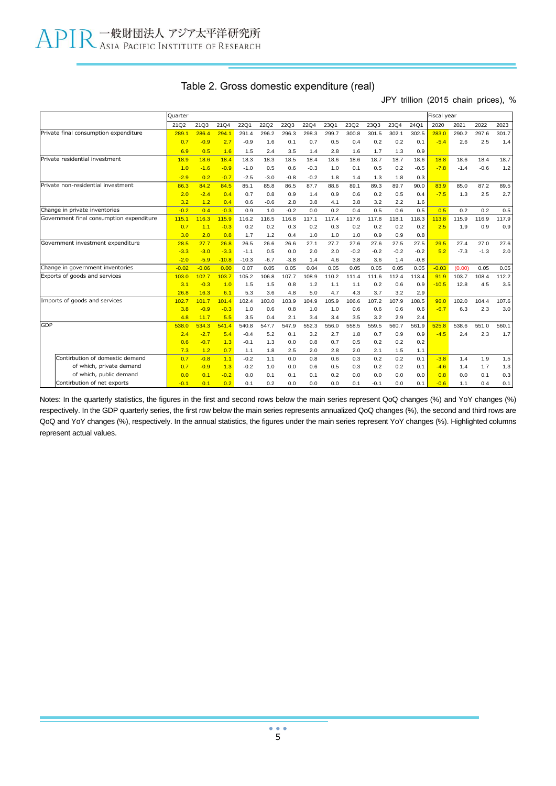|  |  | Table 2. Gross domestic expenditure (real) |  |  |  |
|--|--|--------------------------------------------|--|--|--|
|--|--|--------------------------------------------|--|--|--|

JPY trillion (2015 chain prices), %

|                                          | Quarter |         |         |             |             |             |             |       |        |        |        |        | Fiscal year |        |        |       |
|------------------------------------------|---------|---------|---------|-------------|-------------|-------------|-------------|-------|--------|--------|--------|--------|-------------|--------|--------|-------|
|                                          | 21Q2    | 21Q3    | 21Q4    | <b>22Q1</b> | <b>22Q2</b> | <b>22Q3</b> | <b>22Q4</b> | 23Q1  | 23Q2   | 23Q3   | 23Q4   | 24Q1   | 2020        | 2021   | 2022   | 2023  |
| Private final consumption expenditure    | 289.1   | 286.4   | 294.1   | 291.4       | 296.2       | 296.3       | 298.3       | 299.7 | 300.8  | 301.5  | 302.1  | 302.5  | 283.0       | 290.2  | 297.6  | 301.7 |
|                                          | 0.7     | $-0.9$  | 2.7     | $-0.9$      | 1.6         | 0.1         | 0.7         | 0.5   | 0.4    | 0.2    | 0.2    | 0.1    | $-5.4$      | 2.6    | 2.5    | 1.4   |
|                                          | 6.9     | 0.5     | 1.6     | 1.5         | 2.4         | 3.5         | 1.4         | 2.8   | 1.6    | 1.7    | 1.3    | 0.9    |             |        |        |       |
| Private residential investment           | 18.9    | 18.6    | 18.4    | 18.3        | 18.3        | 18.5        | 18.4        | 18.6  | 18.6   | 18.7   | 18.7   | 18.6   | 18.8        | 18.6   | 18.4   | 18.7  |
|                                          | 1.0     | $-1.6$  | $-0.9$  | $-1.0$      | 0.5         | 0.6         | $-0.3$      | 1.0   | 0.1    | 0.5    | 0.2    | $-0.5$ | $-7.8$      | $-1.4$ | $-0.6$ | 1.2   |
|                                          | $-2.9$  | 0.2     | $-0.7$  | $-2.5$      | $-3.0$      | $-0.8$      | $-0.2$      | 1.8   | 1.4    | 1.3    | 1.8    | 0.3    |             |        |        |       |
| Private non-residential investment       | 86.3    | 84.2    | 84.5    | 85.1        | 85.8        | 86.5        | 87.7        | 88.6  | 89.1   | 89.3   | 89.7   | 90.0   | 83.9        | 85.0   | 87.2   | 89.5  |
|                                          | 2.0     | $-2.4$  | 0.4     | 0.7         | 0.8         | 0.9         | 1.4         | 0.9   | 0.6    | 0.2    | 0.5    | 0.4    | $-7.5$      | 1.3    | 2.5    | 2.7   |
|                                          | 3.2     | 1.2     | 0.4     | 0.6         | $-0.6$      | 2.8         | 3.8         | 4.1   | 3.8    | 3.2    | 2.2    | 1.6    |             |        |        |       |
| Change in private inventories            | $-0.2$  | 0.4     | $-0.3$  | 0.9         | 1.0         | $-0.2$      | 0.0         | 0.2   | 0.4    | 0.5    | 0.6    | 0.5    | 0.5         | 0.2    | 0.2    | 0.5   |
| Government final consumption expenditure | 115.1   | 116.3   | 115.9   | 116.2       | 116.5       | 116.8       | 117.1       | 117.4 | 117.6  | 117.8  | 118.1  | 118.3  | 113.8       | 115.9  | 116.9  | 117.9 |
|                                          | 0.7     | 1.1     | $-0.3$  | 0.2         | 0.2         | 0.3         | 0.2         | 0.3   | 0.2    | 0.2    | 0.2    | 0.2    | 2.5         | 1.9    | 0.9    | 0.9   |
|                                          | 3.0     | 2.0     | 0.8     | 1.7         | 1.2         | 0.4         | 1.0         | 1.0   | 1.0    | 0.9    | 0.9    | 0.8    |             |        |        |       |
| Government investment expenditure        | 28.5    | 27.7    | 26.8    | 26.5        | 26.6        | 26.6        | 27.1        | 27.7  | 27.6   | 27.6   | 27.5   | 27.5   | 29.5        | 27.4   | 27.0   | 27.6  |
|                                          | $-3.3$  | $-3.0$  | $-3.3$  | $-1.1$      | 0.5         | 0.0         | 2.0         | 2.0   | $-0.2$ | $-0.2$ | $-0.2$ | $-0.2$ | 5.2         | $-7.3$ | $-1.3$ | 2.0   |
|                                          | $-2.0$  | $-5.9$  | $-10.8$ | $-10.3$     | $-6.7$      | $-3.8$      | 1.4         | 4.6   | 3.8    | 3.6    | 1.4    | $-0.8$ |             |        |        |       |
| Change in government inventories         | $-0.02$ | $-0.06$ | 0.00    | 0.07        | 0.05        | 0.05        | 0.04        | 0.05  | 0.05   | 0.05   | 0.05   | 0.05   | $-0.03$     | (0.00) | 0.05   | 0.05  |
| Exports of goods and services            | 103.0   | 102.7   | 103.7   | 105.2       | 106.8       | 107.7       | 108.9       | 110.2 | 111.4  | 111.6  | 112.4  | 113.4  | 91.9        | 103.7  | 108.4  | 112.2 |
|                                          | 3.1     | $-0.3$  | 1.0     | 1.5         | 1.5         | 0.8         | 1.2         | 1.1   | 1.1    | 0.2    | 0.6    | 0.9    | $-10.5$     | 12.8   | 4.5    | 3.5   |
|                                          | 26.8    | 16.3    | 6.1     | 5.3         | 3.6         | 4.8         | 5.0         | 4.7   | 4.3    | 3.7    | 3.2    | 2.9    |             |        |        |       |
| Imports of goods and services            | 102.7   | 101.7   | 101.4   | 102.4       | 103.0       | 103.9       | 104.9       | 105.9 | 106.6  | 107.2  | 107.9  | 108.5  | 96.0        | 102.0  | 104.4  | 107.6 |
|                                          | 3.8     | $-0.9$  | $-0.3$  | 1.0         | 0.6         | 0.8         | 1.0         | 1.0   | 0.6    | 0.6    | 0.6    | 0.6    | $-6.7$      | 6.3    | 2.3    | 3.0   |
|                                          | 4.8     | 11.7    | 5.5     | 3.5         | 0.4         | 2.1         | 3.4         | 3.4   | 3.5    | 3.2    | 2.9    | 2.4    |             |        |        |       |
| <b>GDP</b>                               | 538.0   | 534.3   | 541.4   | 540.8       | 547.7       | 547.9       | 552.3       | 556.0 | 558.5  | 559.5  | 560.7  | 561.9  | 525.8       | 538.6  | 551.0  | 560.1 |
|                                          | 2.4     | $-2.7$  | 5.4     | $-0.4$      | 5.2         | 0.1         | 3.2         | 2.7   | 1.8    | 0.7    | 0.9    | 0.9    | $-4.5$      | 2.4    | 2.3    | 1.7   |
|                                          | 0.6     | $-0.7$  | 1.3     | $-0.1$      | 1.3         | 0.0         | 0.8         | 0.7   | 0.5    | 0.2    | 0.2    | 0.2    |             |        |        |       |
|                                          | 7.3     | 1.2     | 0.7     | 1.1         | 1.8         | 2.5         | 2.0         | 2.8   | 2.0    | 2.1    | 1.5    | 1.1    |             |        |        |       |
| Contirbution of domestic demand          | 0.7     | $-0.8$  | 1.1     | $-0.2$      | 1.1         | 0.0         | 0.8         | 0.6   | 0.3    | 0.2    | 0.2    | 0.1    | $-3.8$      | 1.4    | 1.9    | 1.5   |
| of which, private demand                 | 0.7     | $-0.9$  | 1.3     | $-0.2$      | 1.0         | 0.0         | 0.6         | 0.5   | 0.3    | 0.2    | 0.2    | 0.1    | $-4.6$      | 1.4    | 1.7    | 1.3   |
| of which, public demand                  | 0.0     | 0.1     | $-0.2$  | 0.0         | 0.1         | 0.1         | 0.1         | 0.2   | 0.0    | 0.0    | 0.0    | 0.0    | 0.8         | 0.0    | 0.1    | 0.3   |
| Contirbution of net exports              | $-0.1$  | 0.1     | 0.2     | 0.1         | 0.2         | 0.0         | 0.0         | 0.0   | 0.1    | $-0.1$ | 0.0    | 0.1    | $-0.6$      | 1.1    | 0.4    | 0.1   |

Notes: In the quarterly statistics, the figures in the first and second rows below the main series represent QoQ changes (%) and YoY changes (%) respectively. In the GDP quarterly series, the first row below the main series represents annualized QoQ changes (%), the second and third rows are QoQ and YoY changes (%), respectively. In the annual statistics, the figures under the main series represent YoY changes (%). Highlighted columns represent actual values.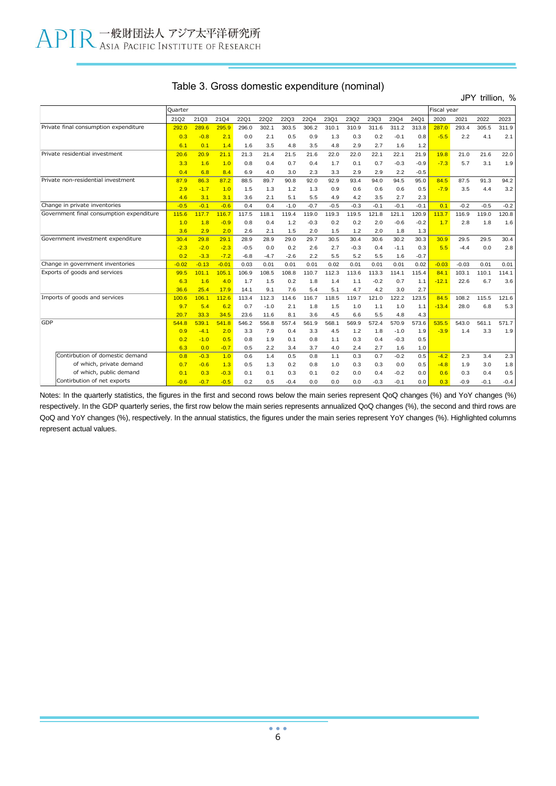JPY trillion, %

|     |                                          | Quarter |         |         |             |             |             |             |        |        |        |        |        | Fiscal year |         |        |        |
|-----|------------------------------------------|---------|---------|---------|-------------|-------------|-------------|-------------|--------|--------|--------|--------|--------|-------------|---------|--------|--------|
|     |                                          | 21Q2    | 21Q3    | 21Q4    | <b>22Q1</b> | <b>22Q2</b> | <b>22Q3</b> | <b>22Q4</b> | 23Q1   | 23Q2   | 23Q3   | 23Q4   | 24Q1   | 2020        | 2021    | 2022   | 2023   |
|     | Private final consumption expenditure    | 292.0   | 289.6   | 295.9   | 296.0       | 302.1       | 303.5       | 306.2       | 310.1  | 310.9  | 311.6  | 311.2  | 313.8  | 287.0       | 293.4   | 305.5  | 311.9  |
|     |                                          | 0.3     | $-0.8$  | 2.1     | 0.0         | 2.1         | 0.5         | 0.9         | 1.3    | 0.3    | 0.2    | $-0.1$ | 0.8    | $-5.5$      | 2.2     | 4.1    | 2.1    |
|     |                                          | 6.1     | 0.1     | 1.4     | 1.6         | 3.5         | 4.8         | 3.5         | 4.8    | 2.9    | 2.7    | 1.6    | 1.2    |             |         |        |        |
|     | Private residential investment           | 20.6    | 20.9    | 21.1    | 21.3        | 21.4        | 21.5        | 21.6        | 22.0   | 22.0   | 22.1   | 22.1   | 21.9   | 19.8        | 21.0    | 21.6   | 22.0   |
|     |                                          | 3.3     | 1.6     | 1.0     | 0.8         | 0.4         | 0.7         | 0.4         | 1.7    | 0.1    | 0.7    | $-0.3$ | $-0.9$ | $-7.3$      | 5.7     | 3.1    | 1.9    |
|     |                                          | 0.4     | 6.8     | 8.4     | 6.9         | 4.0         | 3.0         | 2.3         | 3.3    | 2.9    | 2.9    | 2.2    | $-0.5$ |             |         |        |        |
|     | Private non-residential investment       | 87.9    | 86.3    | 87.2    | 88.5        | 89.7        | 90.8        | 92.0        | 92.9   | 93.4   | 94.0   | 94.5   | 95.0   | 84.5        | 87.5    | 91.3   | 94.2   |
|     |                                          | 2.9     | $-1.7$  | 1.0     | 1.5         | 1.3         | 1.2         | 1.3         | 0.9    | 0.6    | 0.6    | 0.6    | 0.5    | $-7.9$      | 3.5     | 4.4    | 3.2    |
|     |                                          | 4.6     | 3.1     | 3.1     | 3.6         | 2.1         | 5.1         | 5.5         | 4.9    | 4.2    | 3.5    | 2.7    | 2.3    |             |         |        |        |
|     | Change in private inventories            | $-0.5$  | $-0.1$  | $-0.6$  | 0.4         | 0.4         | $-1.0$      | $-0.7$      | $-0.5$ | $-0.3$ | $-0.1$ | $-0.1$ | $-0.1$ | 0.1         | $-0.2$  | $-0.5$ | $-0.2$ |
|     | Government final consumption expenditure | 115.6   | 117.7   | 116.7   | 117.5       | 118.1       | 119.4       | 119.0       | 119.3  | 119.5  | 121.8  | 121.1  | 120.9  | 113.7       | 116.9   | 119.0  | 120.8  |
|     |                                          | 1.0     | 1.8     | $-0.9$  | 0.8         | 0.4         | 1.2         | $-0.3$      | 0.2    | 0.2    | 2.0    | $-0.6$ | $-0.2$ | 1.7         | 2.8     | 1.8    | 1.6    |
|     |                                          | 3.6     | 2.9     | 2.0     | 2.6         | 2.1         | 1.5         | 2.0         | 1.5    | 1.2    | 2.0    | 1.8    | 1.3    |             |         |        |        |
|     | Government investment expenditure        | 30.4    | 29.8    | 29.1    | 28.9        | 28.9        | 29.0        | 29.7        | 30.5   | 30.4   | 30.6   | 30.2   | 30.3   | 30.9        | 29.5    | 29.5   | 30.4   |
|     |                                          | $-2.3$  | $-2.0$  | $-2.3$  | $-0.5$      | 0.0         | 0.2         | 2.6         | 2.7    | $-0.3$ | 0.4    | $-1.1$ | 0.3    | 5.5         | $-4.4$  | 0.0    | 2.8    |
|     |                                          | 0.2     | $-3.3$  | $-7.2$  | $-6.8$      | $-4.7$      | $-2.6$      | 2.2         | 5.5    | 5.2    | 5.5    | 1.6    | $-0.7$ |             |         |        |        |
|     | Change in government inventories         | $-0.02$ | $-0.13$ | $-0.01$ | 0.03        | 0.01        | 0.01        | 0.01        | 0.02   | 0.01   | 0.01   | 0.01   | 0.02   | $-0.03$     | $-0.03$ | 0.01   | 0.01   |
|     | Exports of goods and services            | 99.5    | 101.1   | 105.1   | 106.9       | 108.5       | 108.8       | 110.7       | 112.3  | 113.6  | 113.3  | 114.1  | 115.4  | 84.1        | 103.1   | 110.1  | 114.1  |
|     |                                          | 6.3     | 1.6     | 4.0     | 1.7         | 1.5         | 0.2         | 1.8         | 1.4    | 1.1    | $-0.2$ | 0.7    | 1.1    | $-12.1$     | 22.6    | 6.7    | 3.6    |
|     |                                          | 36.6    | 25.4    | 17.9    | 14.1        | 9.1         | 7.6         | 5.4         | 5.1    | 4.7    | 4.2    | 3.0    | 2.7    |             |         |        |        |
|     | Imports of goods and services            | 100.6   | 106.1   | 112.6   | 113.4       | 112.3       | 114.6       | 116.7       | 118.5  | 119.7  | 121.0  | 122.2  | 123.5  | 84.5        | 108.2   | 115.5  | 121.6  |
|     |                                          | 9.7     | 5.4     | 6.2     | 0.7         | $-1.0$      | 2.1         | 1.8         | 1.5    | 1.0    | 1.1    | 1.0    | 1.1    | $-13.4$     | 28.0    | 6.8    | 5.3    |
|     |                                          | 20.7    | 33.3    | 34.5    | 23.6        | 11.6        | 8.1         | 3.6         | 4.5    | 6.6    | 5.5    | 4.8    | 4.3    |             |         |        |        |
| GDP |                                          | 544.8   | 539.1   | 541.8   | 546.2       | 556.8       | 557.4       | 561.9       | 568.1  | 569.9  | 572.4  | 570.9  | 573.6  | 535.5       | 543.0   | 561.1  | 571.7  |
|     |                                          | 0.9     | $-4.1$  | 2.0     | 3.3         | 7.9         | 0.4         | 3.3         | 4.5    | 1.2    | 1.8    | $-1.0$ | 1.9    | $-3.9$      | 1.4     | 3.3    | 1.9    |
|     |                                          | 0.2     | $-1.0$  | 0.5     | 0.8         | 1.9         | 0.1         | 0.8         | 1.1    | 0.3    | 0.4    | $-0.3$ | 0.5    |             |         |        |        |
|     |                                          | 6.3     | 0.0     | $-0.7$  | 0.5         | 2.2         | 3.4         | 3.7         | 4.0    | 2.4    | 2.7    | 1.6    | 1.0    |             |         |        |        |
|     | Contirbution of domestic demand          | 0.8     | $-0.3$  | 1.0     | 0.6         | 1.4         | 0.5         | 0.8         | 1.1    | 0.3    | 0.7    | $-0.2$ | 0.5    | $-4.2$      | 2.3     | 3.4    | 2.3    |
|     | of which, private demand                 | 0.7     | $-0.6$  | 1.3     | 0.5         | 1.3         | 0.2         | 0.8         | 1.0    | 0.3    | 0.3    | 0.0    | 0.5    | $-4.8$      | 1.9     | 3.0    | 1.8    |
|     | of which, public demand                  | 0.1     | 0.3     | $-0.3$  | 0.1         | 0.1         | 0.3         | 0.1         | 0.2    | 0.0    | 0.4    | $-0.2$ | 0.0    | 0.6         | 0.3     | 0.4    | 0.5    |
|     | Contirbution of net exports              | $-0.6$  | $-0.7$  | $-0.5$  | 0.2         | 0.5         | $-0.4$      | 0.0         | 0.0    | 0.0    | $-0.3$ | $-0.1$ | 0.0    | 0.3         | $-0.9$  | $-0.1$ | $-0.4$ |

Notes: In the quarterly statistics, the figures in the first and second rows below the main series represent QoQ changes (%) and YoY changes (%) respectively. In the GDP quarterly series, the first row below the main series represents annualized QoQ changes (%), the second and third rows are QoQ and YoY changes (%), respectively. In the annual statistics, the figures under the main series represent YoY changes (%). Highlighted columns represent actual values.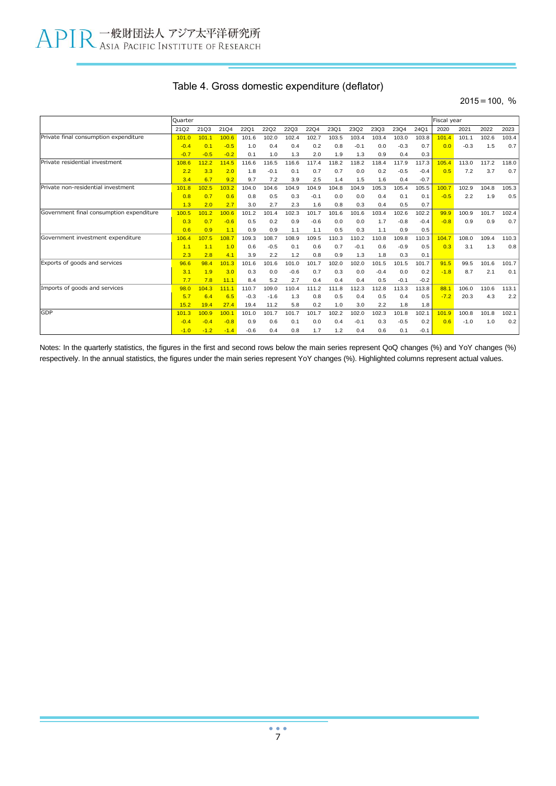|  |  |  | Table 4. Gross domestic expenditure (deflator) |  |  |
|--|--|--|------------------------------------------------|--|--|
|--|--|--|------------------------------------------------|--|--|

#### $2015=100, %$

|                                          | Ouarter |        |        |        |             |             |             |       |        |        |        |        | Fiscal year |        |       |       |
|------------------------------------------|---------|--------|--------|--------|-------------|-------------|-------------|-------|--------|--------|--------|--------|-------------|--------|-------|-------|
|                                          | 21Q2    | 21Q3   | 21Q4   | 22Q1   | <b>22Q2</b> | <b>22Q3</b> | <b>22Q4</b> | 23Q1  | 23Q2   | 23Q3   | 23Q4   | 24Q1   | 2020        | 2021   | 2022  | 2023  |
| Private final consumption expenditure    | 101.0   | 101.1  | 100.6  | 101.6  | 102.0       | 102.4       | 102.7       | 103.5 | 103.4  | 103.4  | 103.0  | 103.8  | 101.4       | 101.1  | 102.6 | 103.4 |
|                                          | $-0.4$  | 0.1    | $-0.5$ | 1.0    | 0.4         | 0.4         | 0.2         | 0.8   | $-0.1$ | 0.0    | $-0.3$ | 0.7    | 0.0         | $-0.3$ | 1.5   | 0.7   |
|                                          | $-0.7$  | $-0.5$ | $-0.2$ | 0.1    | 1.0         | 1.3         | 2.0         | 1.9   | 1.3    | 0.9    | 0.4    | 0.3    |             |        |       |       |
| Private residential investment           | 108.6   | 112.2  | 114.5  | 116.6  | 116.5       | 116.6       | 117.4       | 118.2 | 118.2  | 118.4  | 117.9  | 117.3  | 105.4       | 113.0  | 117.2 | 118.0 |
|                                          | 2.2     | 3.3    | 2.0    | 1.8    | $-0.1$      | 0.1         | 0.7         | 0.7   | 0.0    | 0.2    | $-0.5$ | $-0.4$ | 0.5         | 7.2    | 3.7   | 0.7   |
|                                          | 3.4     | 6.7    | 9.2    | 9.7    | 7.2         | 3.9         | 2.5         | 1.4   | 1.5    | 1.6    | 0.4    | $-0.7$ |             |        |       |       |
| Private non-residential investment       | 101.8   | 102.5  | 103.2  | 104.0  | 104.6       | 104.9       | 104.9       | 104.8 | 104.9  | 105.3  | 105.4  | 105.5  | 100.7       | 102.9  | 104.8 | 105.3 |
|                                          | 0.8     | 0.7    | 0.6    | 0.8    | 0.5         | 0.3         | $-0.1$      | 0.0   | 0.0    | 0.4    | 0.1    | 0.1    | $-0.5$      | 2.2    | 1.9   | 0.5   |
|                                          | 1.3     | 2.0    | 2.7    | 3.0    | 2.7         | 2.3         | 1.6         | 0.8   | 0.3    | 0.4    | 0.5    | 0.7    |             |        |       |       |
| Government final consumption expenditure | 100.5   | 101.2  | 100.6  | 101.2  | 101.4       | 102.3       | 101.7       | 101.6 | 101.6  | 103.4  | 102.6  | 102.2  | 99.9        | 100.9  | 101.7 | 102.4 |
|                                          | 0.3     | 0.7    | $-0.6$ | 0.5    | 0.2         | 0.9         | $-0.6$      | 0.0   | 0.0    | 1.7    | $-0.8$ | $-0.4$ | $-0.8$      | 0.9    | 0.9   | 0.7   |
|                                          | 0.6     | 0.9    | 1.1    | 0.9    | 0.9         | 1.1         | 1.1         | 0.5   | 0.3    | 1.1    | 0.9    | 0.5    |             |        |       |       |
| Government investment expenditure        | 106.4   | 107.5  | 108.7  | 109.3  | 108.7       | 108.9       | 109.5       | 110.3 | 110.2  | 110.8  | 109.8  | 110.3  | 104.7       | 108.0  | 109.4 | 110.3 |
|                                          | 1.1     | 1.1    | 1.0    | 0.6    | $-0.5$      | 0.1         | 0.6         | 0.7   | $-0.1$ | 0.6    | $-0.9$ | 0.5    | 0.3         | 3.1    | 1.3   | 0.8   |
|                                          | 2.3     | 2.8    | 4.1    | 3.9    | 2.2         | 1.2         | 0.8         | 0.9   | 1.3    | 1.8    | 0.3    | 0.1    |             |        |       |       |
| Exports of goods and services            | 96.6    | 98.4   | 101.3  | 101.6  | 101.6       | 101.0       | 101.7       | 102.0 | 102.0  | 101.5  | 101.5  | 101.7  | 91.5        | 99.5   | 101.6 | 101.7 |
|                                          | 3.1     | 1.9    | 3.0    | 0.3    | 0.0         | $-0.6$      | 0.7         | 0.3   | 0.0    | $-0.4$ | 0.0    | 0.2    | $-1.8$      | 8.7    | 2.1   | 0.1   |
|                                          | 7.7     | 7.8    | 11.1   | 8.4    | 5.2         | 2.7         | 0.4         | 0.4   | 0.4    | 0.5    | $-0.1$ | $-0.2$ |             |        |       |       |
| Imports of goods and services            | 98.0    | 104.3  | 111.1  | 110.7  | 109.0       | 110.4       | 111.2       | 111.8 | 112.3  | 112.8  | 113.3  | 113.8  | 88.1        | 106.0  | 110.6 | 113.1 |
|                                          | 5.7     | 6.4    | 6.5    | $-0.3$ | $-1.6$      | 1.3         | 0.8         | 0.5   | 0.4    | 0.5    | 0.4    | 0.5    | $-7.2$      | 20.3   | 4.3   | 2.2   |
|                                          | 15.2    | 19.4   | 27.4   | 19.4   | 11.2        | 5.8         | 0.2         | 1.0   | 3.0    | 2.2    | 1.8    | 1.8    |             |        |       |       |
| GDP                                      | 101.3   | 100.9  | 100.1  | 101.0  | 101.7       | 101.7       | 101.7       | 102.2 | 102.0  | 102.3  | 101.8  | 102.1  | 101.9       | 100.8  | 101.8 | 102.1 |
|                                          | $-0.4$  | $-0.4$ | $-0.8$ | 0.9    | 0.6         | 0.1         | 0.0         | 0.4   | $-0.1$ | 0.3    | $-0.5$ | 0.2    | 0.6         | $-1.0$ | 1.0   | 0.2   |
|                                          | $-1.0$  | $-1.2$ | $-1.4$ | $-0.6$ | 0.4         | 0.8         | 1.7         | 1.2   | 0.4    | 0.6    | 0.1    | $-0.1$ |             |        |       |       |

Notes: In the quarterly statistics, the figures in the first and second rows below the main series represent QoQ changes (%) and YoY changes (%) respectively. In the annual statistics, the figures under the main series represent YoY changes (%). Highlighted columns represent actual values.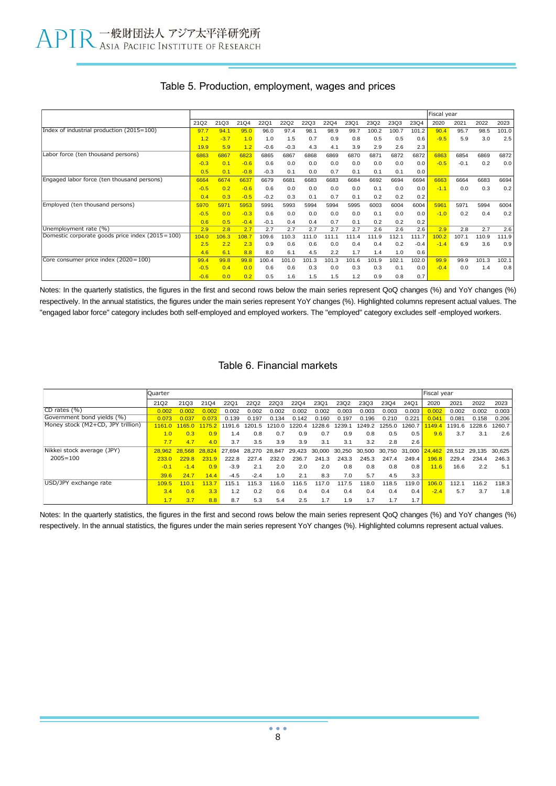|                                                 |        |        |        |        |        |       |       |       |       |       |        | Fiscal year |        |       |       |
|-------------------------------------------------|--------|--------|--------|--------|--------|-------|-------|-------|-------|-------|--------|-------------|--------|-------|-------|
|                                                 | 21Q2   | 21Q3   | 21Q4   | 22Q1   | 22Q2   | 22Q3  | 22Q4  | 23Q1  | 23Q2  | 23Q3  | 23Q4   | 2020        | 2021   | 2022  | 2023  |
| Index of industrial production (2015=100)       | 97.7   | 94.1   | 95.0   | 96.0   | 97.4   | 98.1  | 98.9  | 99.7  | 100.2 | 100.7 | 101.2  | 90.4        | 95.7   | 98.5  | 101.0 |
|                                                 | 1.2    | $-3.7$ | 1.0    | 1.0    | 1.5    | 0.7   | 0.9   | 0.8   | 0.5   | 0.5   | 0.6    | $-9.5$      | 5.9    | 3.0   | 2.5   |
|                                                 | 19.9   | 5.9    | 1.2    | $-0.6$ | $-0.3$ | 4.3   | 4.1   | 3.9   | 2.9   | 2.6   | 2.3    |             |        |       |       |
| Labor force (ten thousand persons)              | 6863   | 6867   | 6823   | 6865   | 6867   | 6868  | 6869  | 6870  | 6871  | 6872  | 6872   | 6863        | 6854   | 6869  | 6872  |
|                                                 | $-0.3$ | 0.1    | $-0.6$ | 0.6    | 0.0    | 0.0   | 0.0   | 0.0   | 0.0   | 0.0   | 0.0    | $-0.5$      | $-0.1$ | 0.2   | 0.0   |
|                                                 | 0.5    | 0.1    | $-0.8$ | $-0.3$ | 0.1    | 0.0   | 0.7   | 0.1   | 0.1   | 0.1   | 0.0    |             |        |       |       |
| Engaged labor force (ten thousand persons)      | 6664   | 6674   | 6637   | 6679   | 6681   | 6683  | 6683  | 6684  | 6692  | 6694  | 6694   | 6663        | 6664   | 6683  | 6694  |
|                                                 | $-0.5$ | 0.2    | $-0.6$ | 0.6    | 0.0    | 0.0   | 0.0   | 0.0   | 0.1   | 0.0   | 0.0    | $-1.1$      | 0.0    | 0.3   | 0.2   |
|                                                 | 0.4    | 0.3    | $-0.5$ | $-0.2$ | 0.3    | 0.1   | 0.7   | 0.1   | 0.2   | 0.2   | 0.2    |             |        |       |       |
| Employed (ten thousand persons)                 | 5970   | 597'   | 5953   | 5991   | 5993   | 5994  | 5994  | 5995  | 6003  | 6004  | 6004   | 5961        | 5971   | 5994  | 6004  |
|                                                 | $-0.5$ | 0.0    | $-0.3$ | 0.6    | 0.0    | 0.0   | 0.0   | 0.0   | 0.1   | 0.0   | 0.0    | $-1.0$      | 0.2    | 0.4   | 0.2   |
|                                                 | 0.6    | 0.5    | $-0.4$ | $-0.1$ | 0.4    | 0.4   | 0.7   | 0.1   | 0.2   | 0.2   | 0.2    |             |        |       |       |
| Unemployment rate (%)                           | 2.9    | 2.8    | 2.7    | 2.7    | 2.7    | 2.7   | 2.7   | 2.7   | 2.6   | 2.6   | 2.6    | 2.9         | 2.8    | 2.7   | 2.6   |
| Domestic corporate goods price index (2015=100) | 104.0  | 106.3  | 108.7  | 109.6  | 110.3  | 111.0 | 111.1 | 111.4 | 111.9 | 12.1  | 111.7  | 100.2       | 107.1  | 110.9 | 111.9 |
|                                                 | 2.5    | 2.2    | 2.3    | 0.9    | 0.6    | 0.6   | 0.0   | 0.4   | 0.4   | 0.2   | $-0.4$ | $-1.4$      | 6.9    | 3.6   | 0.9   |
|                                                 | 4.6    | 6.1    | 8.8    | 8.0    | 6.1    | 4.5   | 2.2   | 1.7   | 1.4   | 1.0   | 0.6    |             |        |       |       |
| Core consumer price index (2020=100)            | 99.4   | 99.8   | 99.8   | 100.4  | 101.0  | 101.3 | 101.3 | 101.6 | 101.9 | 102.1 | 102.0  | 99.9        | 99.9   | 101.3 | 102.1 |
|                                                 | $-0.5$ | 0.4    | 0.0    | 0.6    | 0.6    | 0.3   | 0.0   | 0.3   | 0.3   | 0.1   | 0.0    | $-0.4$      | 0.0    | 1.4   | 0.8   |
|                                                 | $-0.6$ | 0.0    | 0.2    | 0.5    | 1.6    | 1.5   | 1.5   | 1.2   | 0.9   | 0.8   | 0.7    |             |        |       |       |

### Table 5. Production, employment, wages and prices

Notes: In the quarterly statistics, the figures in the first and second rows below the main series represent QoQ changes (%) and YoY changes (%) respectively. In the annual statistics, the figures under the main series represent YoY changes (%). Highlighted columns represent actual values. The "engaged labor force" category includes both self-employed and employed workers. The "employed" category excludes self -employed workers.

### Table 6. Financial markets

|                                   | Quarter          |                      |        |        |        |        |        |        |        |        |        |        | Fiscal year |                      |        |        |
|-----------------------------------|------------------|----------------------|--------|--------|--------|--------|--------|--------|--------|--------|--------|--------|-------------|----------------------|--------|--------|
|                                   | 21Q <sub>2</sub> | 21Q3                 | 21Q4   | 22Q1   | 22Q2   | 22Q3   | 22Q4   | 23Q1   | 23Q2   | 23Q3   | 23Q4   | 24Q1   | 2020        | 2021                 | 2022   | 2023   |
| $CD$ rates $(\% )$                | 0.002            | 0.002                | 0.002  | 0.002  | 0.002  | 0.002  | 0.002  | 0.002  | 0.003  | 0.003  | 0.003  | 0.003  | 0.002       | 0.002                | 0.002  | 0.003  |
| Government bond yields (%)        | 0.073            |                      | 0.073  | 0.139  | 0.197  | 0.134  | 0.142  | 0.160  | 0.197  | 0.196  | 0.210  | 0.221  | 0.041       | 0.081                | 0.158  | 0.206  |
| Money stock (M2+CD, JPY trillion) | 1161 O           | 11650                | 1175.2 | 1191.6 | 1201.5 | 210.0  | 220.4  | 1228.6 | 1239.1 | 1249.2 | 1255.0 | 1260.7 | 1149.4      | 191.6                | 1228.6 | 1260.7 |
|                                   | 1.0              | 0.3                  | 0.9    | 1.4    | 0.8    | 0.7    | 0.9    | 0.7    | 0.9    | 0.8    | 0.5    | 0.5    | 9.6         | 3.7                  | 3.1    | 2.6    |
|                                   | 7.7              | 4.7                  | 4.0    | 3.7    | 3.5    | 3.9    | 3.9    | 3.1    | 3.1    | 3.2    | 2.8    | 2.6    |             |                      |        |        |
| Nikkei stock average (JPY)        |                  | 28.962 28.568 28.824 |        | 27.694 | 28.270 | 28.847 | 29.423 | 30.000 | 30.250 | 30.500 | 30.750 | 31,000 |             | 24.462 28.512 29.135 |        | 30.625 |
| $2005 = 100$                      | 233.0            | 229.8                | 231.9  | 222.8  | 227.4  | 232.0  | 236.7  | 241.3  | 243.3  | 245.3  | 247.4  | 249.4  | 8.89        | 229.4                | 234.4  | 246.3  |
|                                   | $-0.1$           | $-1.4$               | 0.9    | $-3.9$ | 2.1    | 2.0    | 2.0    | 2.0    | 0.8    | 0.8    | 0.8    | 0.8    | 11.6        | 16.6                 | 2.2    | 5.1    |
|                                   | 39.6             | 24.7                 | 14.4   | $-4.5$ | $-2.4$ | 1.0    | 2.1    | 8.3    | 7.0    | 5.7    | 4.5    | 3.3    |             |                      |        |        |
| USD/JPY exchange rate             | 109.5            | 1101                 | 113.7  | 115.1  | 115.3  | 16.0   | 116.5  | 117.0  | 117.5  | 118.0  | 118.5  | 119.0  | 106.0       | 112.1                | 116.2  | 118.3  |
|                                   | 3.4              | 0.6                  | 3.3    | 1.2    | 0.2    | 0.6    | 0.4    | 0.4    | 0.4    | 0.4    | 0.4    | 0.4    | $-2.4$      | 5.7                  | 3.7    | 1.8    |
|                                   | 1.7              | 3.7                  | 8.8    | 8.7    | 5.3    | 5.4    | 2.5    | 1.7    | 1.9    | 1.7    | 1.7    | 1.7    |             |                      |        |        |

Notes: In the quarterly statistics, the figures in the first and second rows below the main series represent QoQ changes (%) and YoY changes (%) respectively. In the annual statistics, the figures under the main series represent YoY changes (%). Highlighted columns represent actual values.